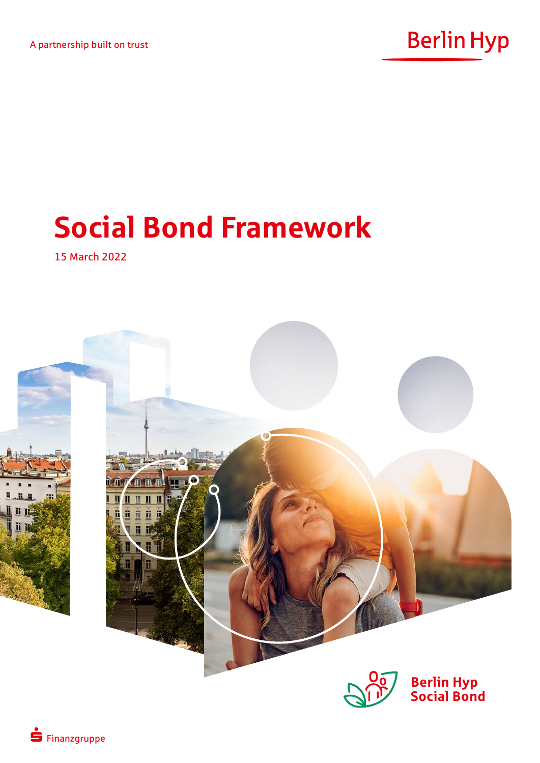

# **Social Bond Framework**

15 March 2022

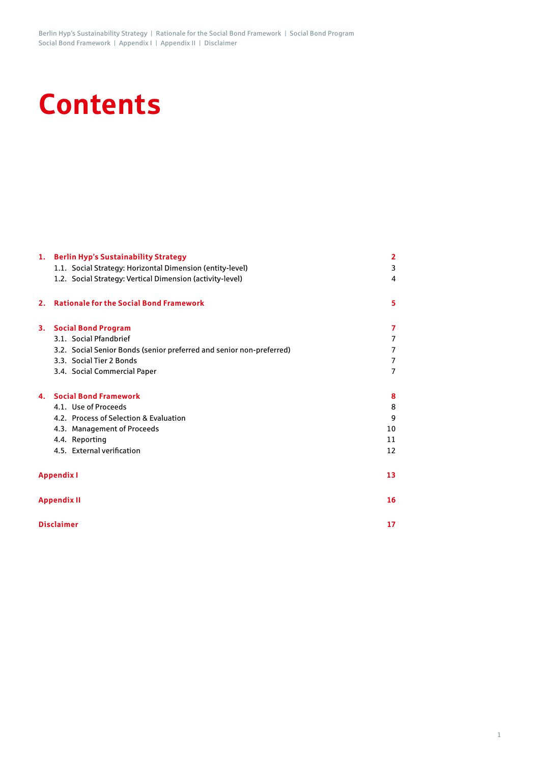# **Contents**

|                   | 1. Berlin Hyp's Sustainability Strategy                              | 2  |  |  |
|-------------------|----------------------------------------------------------------------|----|--|--|
|                   | 1.1. Social Strategy: Horizontal Dimension (entity-level)            | 3  |  |  |
|                   | 1.2. Social Strategy: Vertical Dimension (activity-level)            | 4  |  |  |
| 2.                | <b>Rationale for the Social Bond Framework</b>                       | 5  |  |  |
| 3.                | <b>Social Bond Program</b>                                           | 7  |  |  |
|                   | 3.1. Social Pfandbrief                                               | 7  |  |  |
|                   | 3.2. Social Senior Bonds (senior preferred and senior non-preferred) | 7  |  |  |
|                   | 3.3. Social Tier 2 Bonds                                             | 7  |  |  |
|                   | 3.4. Social Commercial Paper                                         | 7  |  |  |
| 4.                | <b>Social Bond Framework</b>                                         | 8  |  |  |
|                   | 4.1. Use of Proceeds                                                 | 8  |  |  |
|                   | 4.2. Process of Selection & Evaluation                               | g  |  |  |
|                   | 4.3. Management of Proceeds                                          | 10 |  |  |
|                   | 4.4. Reporting                                                       | 11 |  |  |
|                   | 4.5. External verification                                           | 12 |  |  |
| <b>Appendix I</b> |                                                                      |    |  |  |
|                   | <b>Appendix II</b>                                                   | 16 |  |  |
|                   | <b>Disclaimer</b>                                                    | 17 |  |  |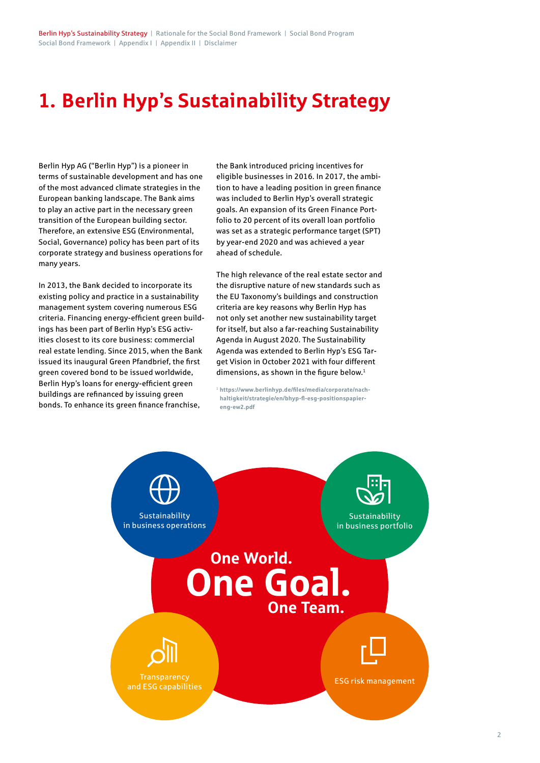# **1. Berlin Hyp's Sustainability Strategy**

Berlin Hyp AG ("Berlin Hyp") is a pioneer in terms of sustainable development and has one of the most advanced climate strategies in the European banking landscape. The Bank aims to play an active part in the necessary green transition of the European building sector. Therefore, an extensive ESG (Environmental, Social, Governance) policy has been part of its corporate strategy and business operations for many years.

In 2013, the Bank decided to incorporate its existing policy and practice in a sustainability management system covering numerous ESG criteria. Financing energy-efficient green buildings has been part of Berlin Hyp's ESG activities closest to its core business: commercial real estate lending. Since 2015, when the Bank issued its inaugural Green Pfandbrief, the first green covered bond to be issued worldwide, Berlin Hyp's loans for energy-efficient green buildings are refinanced by issuing green bonds. To enhance its green finance franchise,

the Bank introduced pricing incentives for eligible businesses in 2016. In 2017, the ambition to have a leading position in green finance was included to Berlin Hyp's overall strategic goals. An expansion of its Green Finance Portfolio to 20 percent of its overall loan portfolio was set as a strategic performance target (SPT) by year-end 2020 and was achieved a year ahead of schedule.

The high relevance of the real estate sector and the disruptive nature of new standards such as the EU Taxonomy's buildings and construction criteria are key reasons why Berlin Hyp has not only set another new sustainability target for itself, but also a far-reaching Sustainability Agenda in August 2020. The Sustainability Agenda was extended to Berlin Hyp's ESG Target Vision in October 2021 with four different dimensions, as shown in the figure below.<sup>1</sup>

<sup>1</sup> **[https://www.berlinhyp.de/files/media/corporate/nach](https://www.berlinhyp.de/files/media/corporate/nachhaltigkeit/strategie/en/bhyp-fl-esg-positionspapier-eng-ew2.pdf)[haltigkeit/strategie/en/bhyp-fl-esg-positionspapier](https://www.berlinhyp.de/files/media/corporate/nachhaltigkeit/strategie/en/bhyp-fl-esg-positionspapier-eng-ew2.pdf)[eng-ew2.pdf](https://www.berlinhyp.de/files/media/corporate/nachhaltigkeit/strategie/en/bhyp-fl-esg-positionspapier-eng-ew2.pdf)**

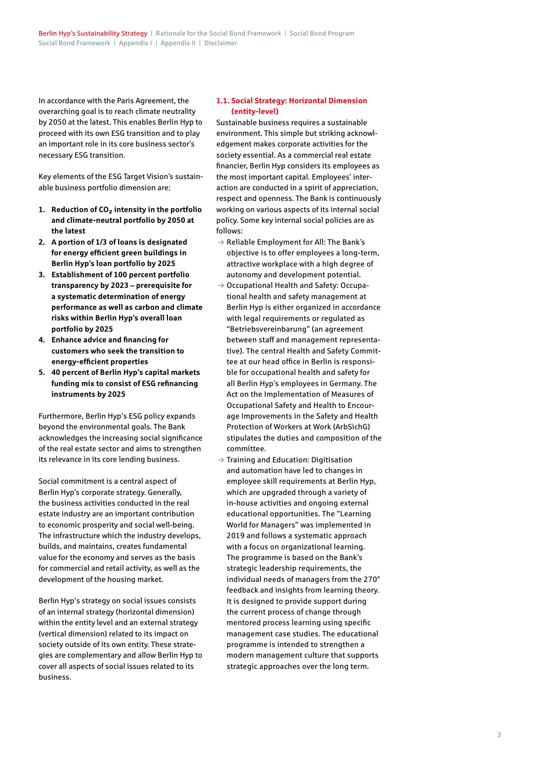In accordance with the Paris Agreement, the overarching goal is to reach climate neutrality by 2050 at the latest. This enables Berlin Hyp to proceed with its own ESG transition and to play an important role in its core business sector's necessary ESG transition.

Key elements of the ESG Target Vision's sustainable business portfolio dimension are:

- **1. Reduction of CO² intensity in the portfolio and climate-neutral portfolio by 2050 at the latest**
- **2. A portion of 1/3 of loans is designated for energy efficient green buildings in Berlin Hyp's loan portfolio by 2025**
- **3. Establishment of 100 percent portfolio transparency by 2023 – prerequisite for a systematic determination of energy performance as well as carbon and climate risks within Berlin Hyp's overall loan portfolio by 2025**
- **4. Enhance advice and financing for customers who seek the transition to energy-efficient properties**
- **5. 40 percent of Berlin Hyp's capital markets funding mix to consist of ESG refinancing instruments by 2025**

Furthermore, Berlin Hyp's ESG policy expands beyond the environmental goals. The Bank acknowledges the increasing social significance of the real estate sector and aims to strengthen its relevance in its core lending business.

Social commitment is a central aspect of Berlin Hyp's corporate strategy. Generally, the business activities conducted in the real estate industry are an important contribution to economic prosperity and social well-being. The infrastructure which the industry develops, builds, and maintains, creates fundamental value for the economy and serves as the basis for commercial and retail activity, as well as the development of the housing market.

Berlin Hyp's strategy on social issues consists of an internal strategy (horizontal dimension) within the entity level and an external strategy (vertical dimension) related to its impact on society outside of its own entity. These strategies are complementary and allow Berlin Hyp to cover all aspects of social issues related to its business.

# **1.1. Social Strategy: Horizontal Dimension (entity-level)**

Sustainable business requires a sustainable environment. This simple but striking acknowledgement makes corporate activities for the society essential. As a commercial real estate financier, Berlin Hyp considers its employees as the most important capital. Employees' interaction are conducted in a spirit of appreciation, respect and openness. The Bank is continuously working on various aspects of its internal social policy. Some key internal social policies are as follows:

- $\rightarrow$  Reliable Employment for All: The Bank's objective is to offer employees a long-term, attractive workplace with a high degree of autonomy and development potential.
- $\rightarrow$  Occupational Health and Safety: Occupational health and safety management at Berlin Hyp is either organized in accordance with legal requirements or requlated as "Betriebsvereinbarung" (an agreement between staff and management representative). The central Health and Safety Committee at our head office in Berlin is responsible for occupational health and safety for all Berlin Hyp's employees in Germany. The Act on the Implementation of Measures of Occupational Safety and Health to Encourage Improvements in the Safety and Health Protection of Workers at Work (ArbSichG) stipulates the duties and composition of the committee.
- $\rightarrow$  Training and Education: Digitisation and automation have led to changes in employee skill requirements at Berlin Hyp, which are upgraded through a variety of in-house activities and ongoing external educational opportunities. The "Learning World for Managers" was implemented in 2019 and follows a systematic approach with a focus on organizational learning. The programme is based on the Bank's strategic leadership requirements, the individual needs of managers from the 270° feedback and insights from learning theory. It is designed to provide support during the current process of change through mentored process learning using specific management case studies. The educational programme is intended to strengthen a modern management culture that supports strategic approaches over the long term.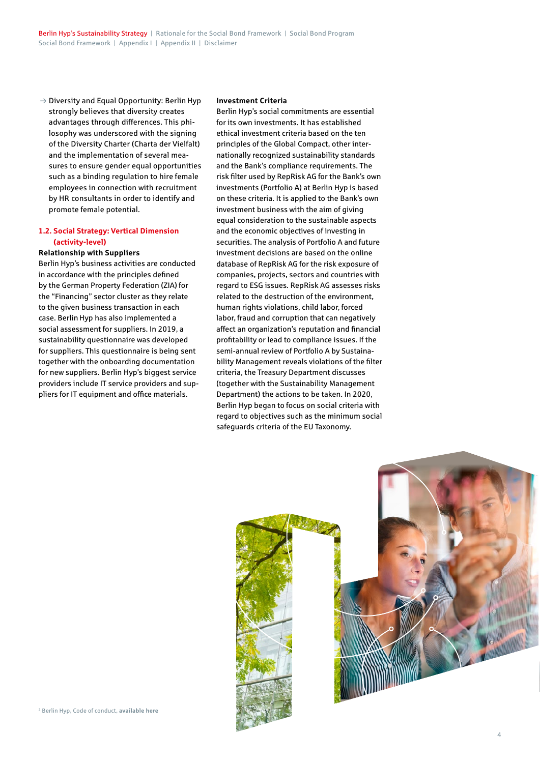$\rightarrow$  Diversity and Equal Opportunity: Berlin Hyp strongly believes that diversity creates advantages through differences. This philosophy was underscored with the signing of the Diversity Charter (Charta der Vielfalt) and the implementation of several measures to ensure gender equal opportunities such as a binding regulation to hire female employees in connection with recruitment by HR consultants in order to identify and promote female potential.

# **1.2. Social Strategy: Vertical Dimension (activity-level)**

**Relationship with Suppliers**

Berlin Hyp's business activities are conducted in accordance with the principles defined by the German Property Federation (ZIA) for the "Financing" sector cluster as they relate to the given business transaction in each case. Berlin Hyp has also implemented a social assessment for suppliers. In 2019, a sustainability questionnaire was developed for suppliers. This questionnaire is being sent together with the onboarding documentation for new suppliers. Berlin Hyp's biggest service providers include IT service providers and suppliers for IT equipment and office materials.

#### **Investment Criteria**

Berlin Hyp's social commitments are essential for its own investments. It has established ethical investment criteria based on the ten principles of the Global Compact, other internationally recognized sustainability standards and the Bank's compliance requirements. The risk filter used by RepRisk AG for the Bank's own investments (Portfolio A) at Berlin Hyp is based on these criteria. It is applied to the Bank's own investment business with the aim of giving equal consideration to the sustainable aspects and the economic objectives of investing in securities. The analysis of Portfolio A and future investment decisions are based on the online database of RepRisk AG for the risk exposure of companies, projects, sectors and countries with regard to ESG issues. RepRisk AG assesses risks related to the destruction of the environment, human rights violations, child labor, forced labor, fraud and corruption that can negatively affect an organization's reputation and financial profitability or lead to compliance issues. If the semi-annual review of Portfolio A by Sustainability Management reveals violations of the filter criteria, the Treasury Department discusses (together with the Sustainability Management Department) the actions to be taken. In 2020, Berlin Hyp began to focus on social criteria with regard to objectives such as the minimum social safeguards criteria of the EU Taxonomy.

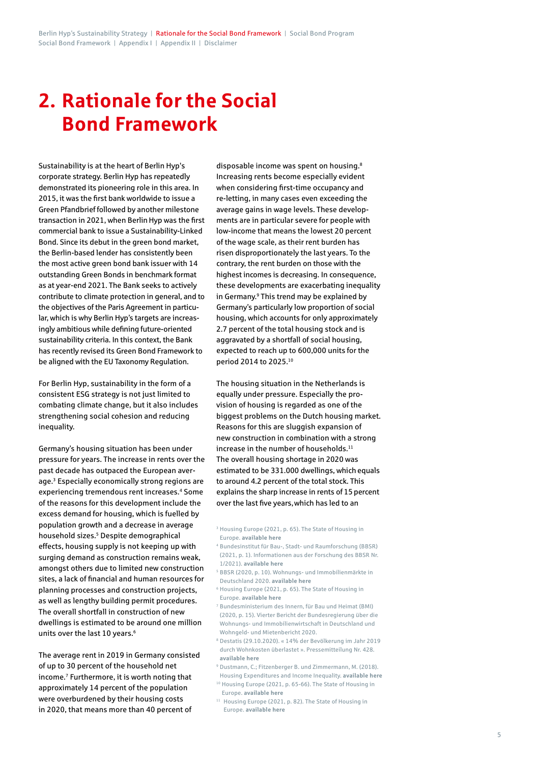# **2. Rationale for the Social Bond Framework**

Sustainability is at the heart of Berlin Hyp's corporate strategy. Berlin Hyp has repeatedly demonstrated its pioneering role in this area. In 2015, it was the first bank worldwide to issue a Green Pfandbrief followed by another milestone transaction in 2021, when Berlin Hyp was the first commercial bank to issue a Sustainability-Linked Bond. Since its debut in the green bond market, the Berlin-based lender has consistently been the most active green bond bank issuer with 14 outstanding Green Bonds in benchmark format as at year-end 2021. The Bank seeks to actively contribute to climate protection in general, and to the objectives of the Paris Agreement in particular, which is why Berlin Hyp's targets are increasingly ambitious while defining future-oriented sustainability criteria. In this context, the Bank has recently revised its Green Bond Framework to be aligned with the EU Taxonomy Regulation.

For Berlin Hyp, sustainability in the form of a consistent ESG strategy is not just limited to combating climate change, but it also includes strengthening social cohesion and reducing inequality.

Germany's housing situation has been under pressure for years. The increase in rents over the past decade has outpaced the European average.3 Especially economically strong regions are experiencing tremendous rent increases.<sup>4</sup> Some of the reasons for this development include the excess demand for housing, which is fuelled by population growth and a decrease in average household sizes.<sup>5</sup> Despite demographical effects, housing supply is not keeping up with surging demand as construction remains weak, amongst others due to limited new construction sites, a lack of financial and human resources for planning processes and construction projects, as well as lengthy building permit procedures. The overall shortfall in construction of new dwellings is estimated to be around one million units over the last 10 years.<sup>6</sup>

The average rent in 2019 in Germany consisted of up to 30 percent of the household net income.7 Furthermore, it is worth noting that approximately 14 percent of the population were overburdened by their housing costs in 2020, that means more than 40 percent of

disposable income was spent on housing.8 Increasing rents become especially evident when considering first-time occupancy and re-letting, in many cases even exceeding the average gains in wage levels. These developments are in particular severe for people with low-income that means the lowest 20 percent of the wage scale, as their rent burden has risen disproportionately the last years. To the contrary, the rent burden on those with the highest incomes is decreasing. In consequence, these developments are exacerbating inequality in Germany.<sup>9</sup> This trend may be explained by Germany's particularly low proportion of social housing, which accounts for only approximately 2.7 percent of the total housing stock and is aggravated by a shortfall of social housing, expected to reach up to 600,000 units for the period 2014 to 2025.10

The housing situation in the Netherlands is equally under pressure. Especially the provision of housing is regarded as one of the biggest problems on the Dutch housing market. Reasons for this are sluggish expansion of new construction in combination with a strong increase in the number of households. $11$ The overall housing shortage in 2020 was estimated to be 331.000 dwellings, which equals to around 4.2 percent of the total stock. This explains the sharp increase in rents of 15 percent over the last five years,which has led to an

- <sup>3</sup> Housing Europe (2021, p. 65). The State of Housing in Europe. **[available here](https://www.stateofhousing.eu/#p=1)**
- <sup>4</sup> Bundesinstitut für Bau-, Stadt- und Raumforschung (BBSR) (2021, p. 1). Informationen aus der Forschung des BBSR Nr. 1/2021). **[available here](https://www.bbsr.bund.de/BBSR/DE/veroeffentlichungen/bbsr-info/2021/bbsr-info-1-2021-dl.pdf?__blob=publicationFile&v=3)**
- <sup>5</sup> BBSR (2020, p. 10). Wohnungs- und Immobilienmärkte in Deutschland 2020. **[available here](https://www.bbsr.bund.de/BBSR/DE/veroeffentlichungen/sonderveroeffentlichungen/2021/wim-2020-dl.pdf;jsessionid=3544C767FC71820379CC4DBDE52EF2D9.live11314?__blob=publicationFile&v=2)**
- <sup>6</sup> Housing Europe (2021, p. 65). The State of Housing in Europe. **[available here](https://www.stateofhousing.eu/#p=1)**
- <sup>7</sup> Bundesministerium des Innern, für Bau und Heimat (BMI) (2020, p. 15). Vierter Bericht der Bundesregierung über die Wohnungs- und Immobilienwirtschaft in Deutschland und Wohngeld- und Mietenbericht 2020.
- <sup>8</sup> Destatis (29.10.2020). « 14% der Bevölkerung im Jahr 2019 durch Wohnkosten überlastet ». Pressemitteilung Nr. 428. **[available here](https://www.destatis.de/DE/Presse/Pressemitteilungen/2020/10/PD20_428_639.html)**
- <sup>9</sup> Dustmann, C.; Fitzenberger B. und Zimmermann, M. (2018). Housing Expenditures and Income Inequality. **[available here](https://www.wiwi.hu-berlin.de/de/professuren/vwl/oe/research/publications/inequality_and_housing.pdf)**
- <sup>10</sup> Housing Europe (2021, p. 65-66). The State of Housing in Europe. **[available here](https://www.stateofhousing.eu/#p=1)**
- <sup>11</sup> Housing Europe (2021, p. 82). The State of Housing in Europe. **[available here](https://www.stateofhousing.eu/#p=1)**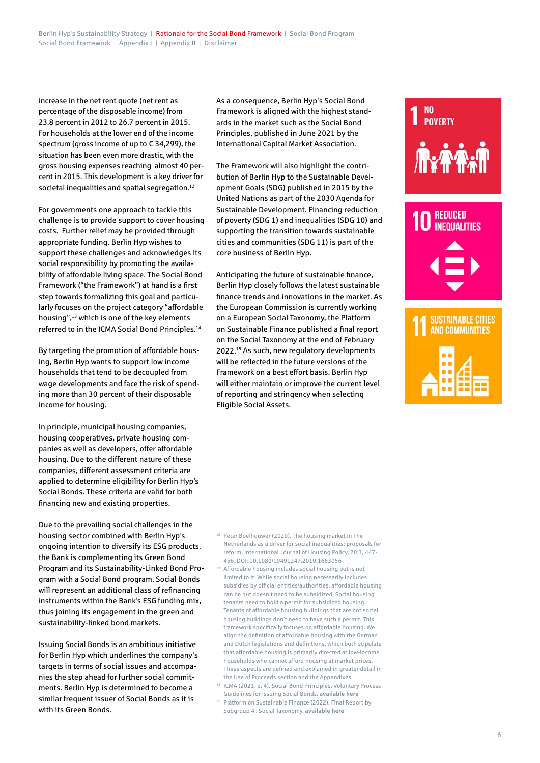increase in the net rent quote (net rent as percentage of the disposable income) from 23.8 percent in 2012 to 26.7 percent in 2015. For households at the lower end of the income spectrum (gross income of up to € 34,299), the situation has been even more drastic, with the gross housing expenses reaching almost 40 percent in 2015. This development is a key driver for societal inequalities and spatial segregation.<sup>12</sup>

For governments one approach to tackle this challenge is to provide support to cover housing costs. Further relief may be provided through appropriate funding. Berlin Hyp wishes to support these challenges and acknowledges its social responsibility by promoting the availability of affordable living space. The Social Bond Framework ("the Framework") at hand is a first step towards formalizing this goal and particularly focuses on the project category "affordable housing",13 which is one of the key elements referred to in the ICMA Social Bond Principles.<sup>14</sup>

By targeting the promotion of affordable housing, Berlin Hyp wants to support low income households that tend to be decoupled from wage developments and face the risk of spending more than 30 percent of their disposable income for housing.

In principle, municipal housing companies, housing cooperatives, private housing companies as well as developers, offer affordable housing. Due to the different nature of these companies, different assessment criteria are applied to determine eligibility for Berlin Hyp's Social Bonds. These criteria are valid for both financing new and existing properties.

Due to the prevailing social challenges in the housing sector combined with Berlin Hyp's ongoing intention to diversify its ESG products, the Bank is complementing its Green Bond Program and its Sustainability-Linked Bond Program with a Social Bond program. Social Bonds will represent an additional class of refinancing instruments within the Bank's ESG funding mix, thus joining its engagement in the green and sustainability-linked bond markets.

Issuing Social Bonds is an ambitious initiative for Berlin Hyp which underlines the company's targets in terms of social issues and accompanies the step ahead for further social commitments. Berlin Hyp is determined to become a similar frequent issuer of Social Bonds as it is with its Green Bonds.

As a consequence, Berlin Hyp's Social Bond Framework is aligned with the highest standards in the market such as the Social Bond Principles, published in June 2021 by the International Capital Market Association.

The Framework will also highlight the contribution of Berlin Hyp to the Sustainable Development Goals (SDG) published in 2015 by the United Nations as part of the 2030 Agenda for Sustainable Development. Financing reduction of poverty (SDG 1) and inequalities (SDG 10) and supporting the transition towards sustainable cities and communities (SDG 11) is part of the core business of Berlin Hyp.

Anticipating the future of sustainable finance, Berlin Hyp closely follows the latest sustainable finance trends and innovations in the market. As the European Commission is currently working on a European Social Taxonomy, the Platform on Sustainable Finance published a final report on the Social Taxonomy at the end of February 2022.15 As such, new regulatory developments will be reflected in the future versions of the Framework on a best effort basis. Berlin Hyp will either maintain or improve the current level of reporting and stringency when selecting Eligible Social Assets.



N<sub>0</sub> **POVERTY** 

| ____ |  |
|------|--|
|      |  |

<sup>12</sup> Peter Boelhouwer (2020). The housing market in The Netherlands as a driver for social inequalities: proposals for reform, International Journal of Housing Policy, 20:3, 447- 456, DOI: 10.1080/19491247.2019.1663056

<sup>13</sup> Affordable housing includes social housing but is not limited to it. While social housing necessarily includes subsidies by official entities/authorities, affordable housing can be but doesn't need to be subsidized. Social housing tenants need to hold a permit for subsidized housing. Tenants of affordable housing buildings that are not social housing buildings don't need to have such a permit. This framework specifically focuses on affordable housing. We align the definition of affordable housing with the German and Dutch legislations and definitions, which both stipulate that affordable housing is primarily directed at low-income households who cannot afford housing at market prices. These aspects are defined and explained in greater detail in the Use of Proceeds section and the Appendixes.

<sup>14</sup> ICMA (2021, p. 4). Social Bond Principles. Voluntary Process Guidelines for Issuing Social Bonds. **[available here](https://www.icmagroup.org/assets/documents/Sustainable-finance/2021-updates/Social-Bond-Principles-June-2021-140621.pdf)**

<sup>&</sup>lt;sup>15</sup> Platform on Sustainable Finance (2022). Final Report by Subgroup 4 : Social Taxonomy. **[available here](https://ec.europa.eu/info/sites/default/files/business_economy_euro/banking_and_finance/documents/280222-sustainable-finance-platform-finance-report-social-taxonomy.pdf)**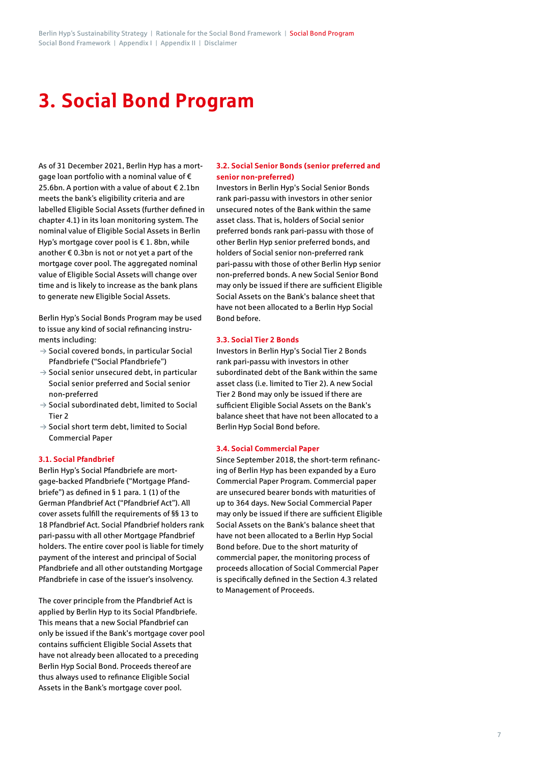# **3. Social Bond Program**

As of 31 December 2021, Berlin Hyp has a mortgage loan portfolio with a nominal value of € 25.6bn. A portion with a value of about € 2.1bn meets the bank's eligibility criteria and are labelled Eligible Social Assets (further defined in chapter 4.1) in its loan monitoring system. The nominal value of Eligible Social Assets in Berlin Hyp's mortgage cover pool is € 1. 8bn, while another € 0.3bn is not or not yet a part of the mortgage cover pool. The aggregated nominal value of Eligible Social Assets will change over time and is likely to increase as the bank plans to generate new Eligible Social Assets.

Berlin Hyp's Social Bonds Program may be used to issue any kind of social refinancing instruments including:

- $\rightarrow$  Social covered bonds, in particular Social Pfandbriefe ("Social Pfandbriefe")
- $\rightarrow$  Social senior unsecured debt, in particular Social senior preferred and Social senior non-preferred
- $\rightarrow$  Social subordinated debt, limited to Social Tier 2
- $\rightarrow$  Social short term debt, limited to Social Commercial Paper

## **3.1. Social Pfandbrief**

Berlin Hyp's Social Pfandbriefe are mortgage-backed Pfandbriefe ("Mortgage Pfandbriefe") as defined in § 1 para. 1 (1) of the German Pfandbrief Act ("Pfandbrief Act"). All cover assets fulfill the requirements of §§ 13 to 18 Pfandbrief Act. Social Pfandbrief holders rank pari-passu with all other Mortgage Pfandbrief holders. The entire cover pool is liable for timely payment of the interest and principal of Social Pfandbriefe and all other outstanding Mortgage Pfandbriefe in case of the issuer's insolvency.

The cover principle from the Pfandbrief Act is applied by Berlin Hyp to its Social Pfandbriefe. This means that a new Social Pfandbrief can only be issued if the Bank's mortgage cover pool contains sufficient Eligible Social Assets that have not already been allocated to a preceding Berlin Hyp Social Bond. Proceeds thereof are thus always used to refinance Eligible Social Assets in the Bank's mortgage cover pool.

# **3.2. Social Senior Bonds (senior preferred and senior non-preferred)**

Investors in Berlin Hyp's Social Senior Bonds rank pari-passu with investors in other senior unsecured notes of the Bank within the same asset class. That is, holders of Social senior preferred bonds rank pari-passu with those of other Berlin Hyp senior preferred bonds, and holders of Social senior non-preferred rank pari-passu with those of other Berlin Hyp senior non-preferred bonds. A new Social Senior Bond may only be issued if there are sufficient Eligible Social Assets on the Bank's balance sheet that have not been allocated to a Berlin Hyp Social Bond before.

## **3.3. Social Tier 2 Bonds**

Investors in Berlin Hyp's Social Tier 2 Bonds rank pari-passu with investors in other subordinated debt of the Bank within the same asset class (i.e. limited to Tier 2). A new Social Tier 2 Bond may only be issued if there are sufficient Eligible Social Assets on the Bank's balance sheet that have not been allocated to a Berlin Hyp Social Bond before.

## **3.4. Social Commercial Paper**

Since September 2018, the short-term refinancing of Berlin Hyp has been expanded by a Euro Commercial Paper Program. Commercial paper are unsecured bearer bonds with maturities of up to 364 days. New Social Commercial Paper may only be issued if there are sufficient Eligible Social Assets on the Bank's balance sheet that have not been allocated to a Berlin Hyp Social Bond before. Due to the short maturity of commercial paper, the monitoring process of proceeds allocation of Social Commercial Paper is specifically defined in the Section 4.3 related to Management of Proceeds.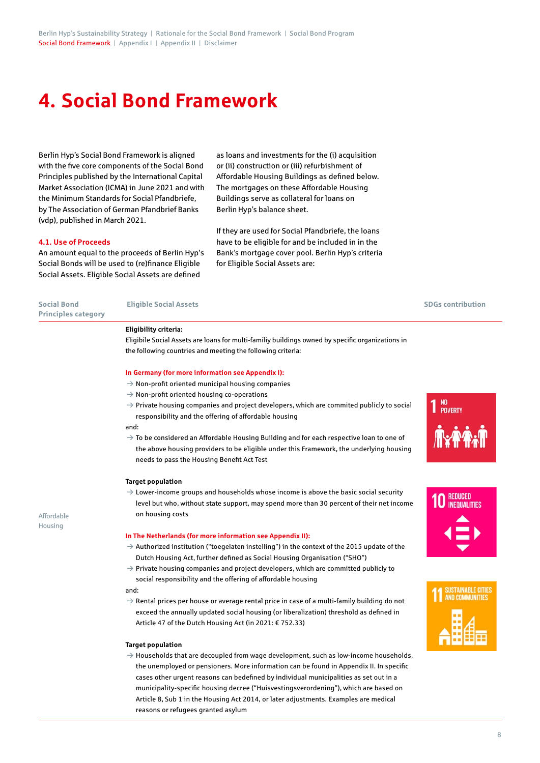# **4. Social Bond Framework**

Berlin Hyp's Social Bond Framework is aligned with the five core components of the Social Bond Principles published by the International Capital Market Association (ICMA) in June 2021 and with the Minimum Standards for Social Pfandbriefe, by The Association of German Pfandbrief Banks (vdp), published in March 2021.

as loans and investments for the (i) acquisition or (ii) construction or (iii) refurbishment of Affordable Housing Buildings as defined below. The mortgages on these Affordable Housing Buildings serve as collateral for loans on Berlin Hyp's balance sheet.

#### **4.1. Use of Proceeds**

An amount equal to the proceeds of Berlin Hyp's Social Bonds will be used to (re)finance Eligible Social Assets. Eligible Social Assets are defined

If they are used for Social Pfandbriefe, the loans have to be eligible for and be included in in the Bank's mortgage cover pool. Berlin Hyp's criteria for Eligible Social Assets are:

| <b>Social Bond</b><br><b>Principles category</b> | <b>Eligible Social Assets</b>                                                                                                                                                                                                                 | <b>SDGs contribution</b> |
|--------------------------------------------------|-----------------------------------------------------------------------------------------------------------------------------------------------------------------------------------------------------------------------------------------------|--------------------------|
|                                                  | Eligibility criteria:                                                                                                                                                                                                                         |                          |
|                                                  | Eligibile Social Assets are loans for multi-familiy buildings owned by specific organizations in                                                                                                                                              |                          |
|                                                  | the following countries and meeting the following criteria:                                                                                                                                                                                   |                          |
|                                                  | In Germany (for more information see Appendix I):                                                                                                                                                                                             |                          |
|                                                  | $\rightarrow$ Non-profit oriented municipal housing companies                                                                                                                                                                                 |                          |
|                                                  | $\rightarrow$ Non-profit oriented housing co-operations                                                                                                                                                                                       |                          |
|                                                  | $\rightarrow$ Private housing companies and project developers, which are commited publicly to social<br>responsibility and the offering of affordable housing                                                                                | NO<br><b>POVERTY</b>     |
|                                                  | and:                                                                                                                                                                                                                                          |                          |
|                                                  | $\rightarrow$ To be considered an Affordable Housing Building and for each respective loan to one of<br>the above housing providers to be eligible under this Framework, the underlying housing<br>needs to pass the Housing Benefit Act Test |                          |
|                                                  | <b>Target population</b>                                                                                                                                                                                                                      |                          |
|                                                  | $\rightarrow$ Lower-income groups and households whose income is above the basic social security<br>level but who, without state support, may spend more than 30 percent of their net income                                                  |                          |
|                                                  | on housing costs                                                                                                                                                                                                                              |                          |
| Affordable                                       |                                                                                                                                                                                                                                               |                          |
| Housing                                          | In The Netherlands (for more information see Appendix II):                                                                                                                                                                                    |                          |
|                                                  | $\rightarrow$ Authorized institution ("toegelaten instelling") in the context of the 2015 update of the                                                                                                                                       |                          |
|                                                  | Dutch Housing Act, further defined as Social Housing Organisation ("SHO")                                                                                                                                                                     |                          |
|                                                  | $\rightarrow$ Private housing companies and project developers, which are committed publicly to                                                                                                                                               |                          |
|                                                  | social responsibility and the offering of affordable housing                                                                                                                                                                                  |                          |
|                                                  | and:                                                                                                                                                                                                                                          |                          |
|                                                  | $\rightarrow$ Rental prices per house or average rental price in case of a multi-family building do not                                                                                                                                       |                          |
|                                                  | exceed the annually updated social housing (or liberalization) threshold as defined in                                                                                                                                                        |                          |
|                                                  | Article 47 of the Dutch Housing Act (in 2021: € 752.33)                                                                                                                                                                                       |                          |
|                                                  | <b>Target population</b>                                                                                                                                                                                                                      |                          |
|                                                  |                                                                                                                                                                                                                                               |                          |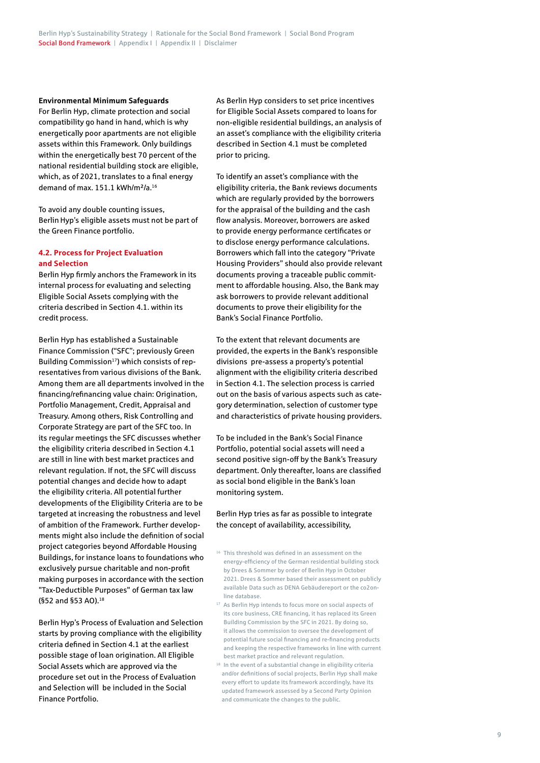#### **Environmental Minimum Safeguards**

For Berlin Hyp, climate protection and social compatibility go hand in hand, which is why energetically poor apartments are not eligible assets within this Framework. Only buildings within the energetically best 70 percent of the national residential building stock are eligible, which, as of 2021, translates to a final energy demand of max. 151.1 kWh/m<sup>2</sup>/a.<sup>16</sup>

To avoid any double counting issues, Berlin Hyp's eligible assets must not be part of the Green Finance portfolio.

# **4.2. Process for Project Evaluation and Selection**

Berlin Hyp firmly anchors the Framework in its internal process for evaluating and selecting Eligible Social Assets complying with the criteria described in Section 4.1. within its credit process.

Berlin Hyp has established a Sustainable Finance Commission ("SFC"; previously Green Building Commission<sup>17</sup>) which consists of representatives from various divisions of the Bank. Among them are all departments involved in the financing/refinancing value chain: Origination, Portfolio Management, Credit, Appraisal and Treasury. Among others, Risk Controlling and Corporate Strategy are part of the SFC too. In its regular meetings the SFC discusses whether the eligibility criteria described in Section 4.1 are still in line with best market practices and relevant regulation. If not, the SFC will discuss potential changes and decide how to adapt the eligibility criteria. All potential further developments of the Eligibility Criteria are to be targeted at increasing the robustness and level of ambition of the Framework. Further developments might also include the definition of social project categories beyond Affordable Housing Buildings, for instance loans to foundations who exclusively pursue charitable and non-profit making purposes in accordance with the section "Tax-Deductible Purposes" of German tax law (§52 and §53 AO).<sup>18</sup>

Berlin Hyp's Process of Evaluation and Selection starts by proving compliance with the eligibility criteria defined in Section 4.1 at the earliest possible stage of loan origination. All Eligible Social Assets which are approved via the procedure set out in the Process of Evaluation and Selection will be included in the Social Finance Portfolio.

As Berlin Hyp considers to set price incentives for Eligible Social Assets compared to loans for non-eligible residential buildings, an analysis of an asset's compliance with the eligibility criteria described in Section 4.1 must be completed prior to pricing.

To identify an asset's compliance with the eligibility criteria, the Bank reviews documents which are regularly provided by the borrowers for the appraisal of the building and the cash flow analysis. Moreover, borrowers are asked to provide energy performance certificates or to disclose energy performance calculations. Borrowers which fall into the category "Private Housing Providers" should also provide relevant documents proving a traceable public commitment to affordable housing. Also, the Bank may ask borrowers to provide relevant additional documents to prove their eligibility for the Bank's Social Finance Portfolio.

To the extent that relevant documents are provided, the experts in the Bank's responsible divisions pre-assess a property's potential alignment with the eligibility criteria described in Section 4.1. The selection process is carried out on the basis of various aspects such as category determination, selection of customer type and characteristics of private housing providers.

To be included in the Bank's Social Finance Portfolio, potential social assets will need a second positive sign-off by the Bank's Treasury department. Only thereafter, loans are classified as social bond eligible in the Bank's loan monitoring system.

Berlin Hyp tries as far as possible to integrate the concept of availability, accessibility,

- <sup>16</sup> This threshold was defined in an assessment on the energy-efficiency of the German residential building stock by Drees & Sommer by order of Berlin Hyp in October 2021. Drees & Sommer based their assessment on publicly available Data such as DENA Gebäudereport or the co2online database.
- <sup>17</sup> As Berlin Hyp intends to focus more on social aspects of its core business, CRE financing, it has replaced its Green Building Commission by the SFC in 2021. By doing so, it allows the commission to oversee the development of potential future social financing and re-financing products and keeping the respective frameworks in line with current best market practice and relevant regulation.
- <sup>18</sup> In the event of a substantial change in eligibility criteria and/or definitions of social projects, Berlin Hyp shall make every effort to update its framework accordingly, have its updated framework assessed by a Second Party Opinion and communicate the changes to the public.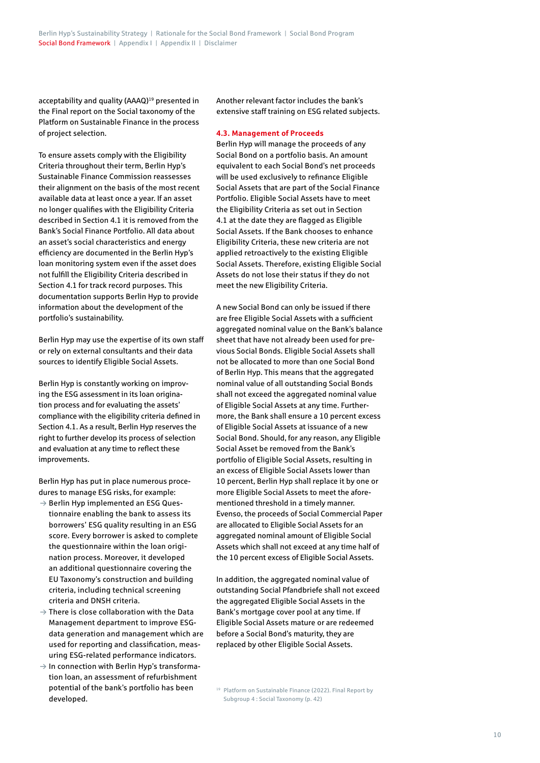acceptability and quality (AAAQ)<sup>19</sup> presented in the Final report on the Social taxonomy of the Platform on Sustainable Finance in the process of project selection.

To ensure assets comply with the Eligibility Criteria throughout their term, Berlin Hyp's Sustainable Finance Commission reassesses their alignment on the basis of the most recent available data at least once a year. If an asset no longer qualifies with the Eligibility Criteria described in Section 4.1 it is removed from the Bank's Social Finance Portfolio. All data about an asset's social characteristics and energy efficiency are documented in the Berlin Hyp's loan monitoring system even if the asset does not fulfill the Eligibility Criteria described in Section 4.1 for track record purposes. This documentation supports Berlin Hyp to provide information about the development of the portfolio's sustainability.

Berlin Hyp may use the expertise of its own staff or rely on external consultants and their data sources to identify Eligible Social Assets.

Berlin Hyp is constantly working on improving the ESG assessment in its loan origination process and for evaluating the assets' compliance with the eligibility criteria defined in Section 4.1. As a result, Berlin Hyp reserves the right to further develop its process of selection and evaluation at any time to reflect these improvements.

Berlin Hyp has put in place numerous procedures to manage ESG risks, for example:

- $\rightarrow$  Berlin Hyp implemented an ESG Questionnaire enabling the bank to assess its borrowers' ESG quality resulting in an ESG score. Every borrower is asked to complete the questionnaire within the loan origination process. Moreover, it developed an additional questionnaire covering the EU Taxonomy's construction and building criteria, including technical screening criteria and DNSH criteria.
- $\rightarrow$  There is close collaboration with the Data Management department to improve ESGdata generation and management which are used for reporting and classification, measuring ESG-related performance indicators.
- $\rightarrow$  In connection with Berlin Hyp's transformation loan, an assessment of refurbishment potential of the bank's portfolio has been developed.

Another relevant factor includes the bank's extensive staff training on ESG related subjects.

## **4.3. Management of Proceeds**

Berlin Hyp will manage the proceeds of any Social Bond on a portfolio basis. An amount equivalent to each Social Bond's net proceeds will be used exclusively to refinance Eligible Social Assets that are part of the Social Finance Portfolio. Eligible Social Assets have to meet the Eligibility Criteria as set out in Section 4.1 at the date they are flagged as Eligible Social Assets. If the Bank chooses to enhance Eligibility Criteria, these new criteria are not applied retroactively to the existing Eligible Social Assets. Therefore, existing Eligible Social Assets do not lose their status if they do not meet the new Eligibility Criteria.

A new Social Bond can only be issued if there are free Eligible Social Assets with a sufficient aggregated nominal value on the Bank's balance sheet that have not already been used for previous Social Bonds. Eligible Social Assets shall not be allocated to more than one Social Bond of Berlin Hyp. This means that the aggregated nominal value of all outstanding Social Bonds shall not exceed the aggregated nominal value of Eligible Social Assets at any time. Furthermore, the Bank shall ensure a 10 percent excess of Eligible Social Assets at issuance of a new Social Bond. Should, for any reason, any Eligible Social Asset be removed from the Bank's portfolio of Eligible Social Assets, resulting in an excess of Eligible Social Assets lower than 10 percent, Berlin Hyp shall replace it by one or more Eligible Social Assets to meet the aforementioned threshold in a timely manner. Evenso, the proceeds of Social Commercial Paper are allocated to Eligible Social Assets for an aggregated nominal amount of Eligible Social Assets which shall not exceed at any time half of the 10 percent excess of Eligible Social Assets.

In addition, the aggregated nominal value of outstanding Social Pfandbriefe shall not exceed the aggregated Eligible Social Assets in the Bank's mortgage cover pool at any time. If Eligible Social Assets mature or are redeemed before a Social Bond's maturity, they are replaced by other Eligible Social Assets.

<sup>19</sup> Platform on Sustainable Finance (2022). Final Report by Subgroup 4 : Social Taxonomy (p. 42)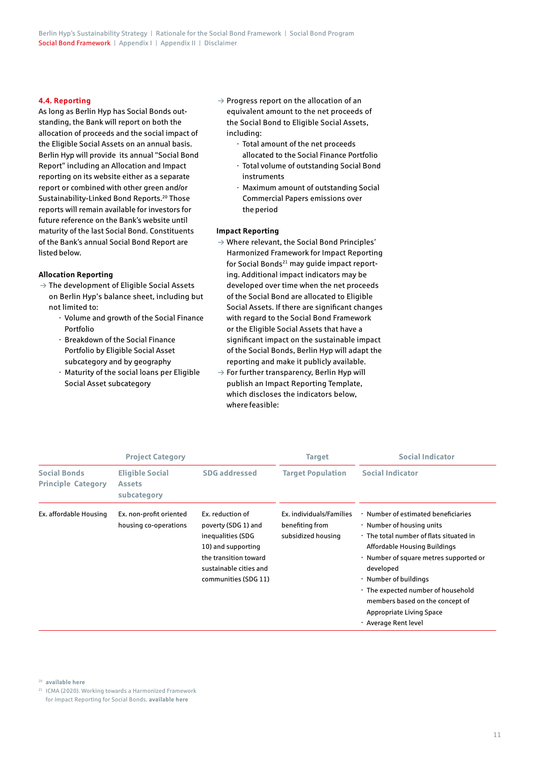# **4.4. Reporting**

As long as Berlin Hyp has Social Bonds outstanding, the Bank will report on both the allocation of proceeds and the social impact of the Eligible Social Assets on an annual basis. Berlin Hyp will provide its annual "Social Bond Report" including an Allocation and Impact reporting on its website either as a separate report or combined with other green and/or Sustainability-Linked Bond Reports.<sup>20</sup> Those reports will remain available for investors for future reference on the Bank's website until maturity of the last Social Bond. Constituents of the Bank's annual Social Bond Report are listed below.

#### **Allocation Reporting**

- $\rightarrow$  The development of Eligible Social Assets on Berlin Hyp's balance sheet, including but not limited to:
	- · Volume and growth of the Social Finance Portfolio
	- · Breakdown of the Social Finance Portfolio by Eligible Social Asset subcategory and by geography
	- · Maturity of the social loans per Eligible Social Asset subcategory
- $\rightarrow$  Progress report on the allocation of an equivalent amount to the net proceeds of the Social Bond to Eligible Social Assets, including:
	- · Total amount of the net proceeds allocated to the Social Finance Portfolio
	- · Total volume of outstanding Social Bond instruments
	- · Maximum amount of outstanding Social Commercial Papers emissions over the period

#### **Impact Reporting**

- $\rightarrow$  Where relevant, the Social Bond Principles' Harmonized Framework for Impact Reporting for Social Bonds<sup>21</sup> may quide impact reporting. Additional impact indicators may be developed over time when the net proceeds of the Social Bond are allocated to Eligible Social Assets. If there are significant changes with regard to the Social Bond Framework or the Eligible Social Assets that have a significant impact on the sustainable impact of the Social Bonds, Berlin Hyp will adapt the reporting and make it publicly available.
- $\rightarrow$  For further transparency, Berlin Hyp will publish an Impact Reporting Template, which discloses the indicators below, where feasible:

|                                                  | <b>Project Category</b>                                |                      | <b>Target</b>                                                     | <b>Social Indicator</b>                                                                                                                                                                                                                                                                                                                                         |  |  |
|--------------------------------------------------|--------------------------------------------------------|----------------------|-------------------------------------------------------------------|-----------------------------------------------------------------------------------------------------------------------------------------------------------------------------------------------------------------------------------------------------------------------------------------------------------------------------------------------------------------|--|--|
| <b>Social Bonds</b><br><b>Principle Category</b> | <b>Eligible Social</b><br><b>Assets</b><br>subcategory | <b>SDG addressed</b> | <b>Target Population</b>                                          | <b>Social Indicator</b>                                                                                                                                                                                                                                                                                                                                         |  |  |
| Ex. affordable Housing                           | Ex. non-profit oriented<br>housing co-operations       |                      | Ex. individuals/Families<br>benefiting from<br>subsidized housing | · Number of estimated beneficiaries<br>· Number of housing units<br>. The total number of flats situated in<br>Affordable Housing Buildings<br>· Number of square metres supported or<br>developed<br>· Number of buildings<br>· The expected number of household<br>members based on the concept of<br><b>Appropriate Living Space</b><br>· Average Rent level |  |  |

<sup>20</sup> **[available here](https://www.berlinhyp.de/en/investors/presentation-to-investors)**

21 ICMA (2020). Working towards a Harmonized Framework for Impact Reporting for Social Bonds. **[available here](https://www.icmagroup.org/assets/documents/Regulatory/Green-Bonds/June-2020/Harmonized-Framework-for-Impact-Reporting-for-Social-BondsJune-2020-090620.pdf)**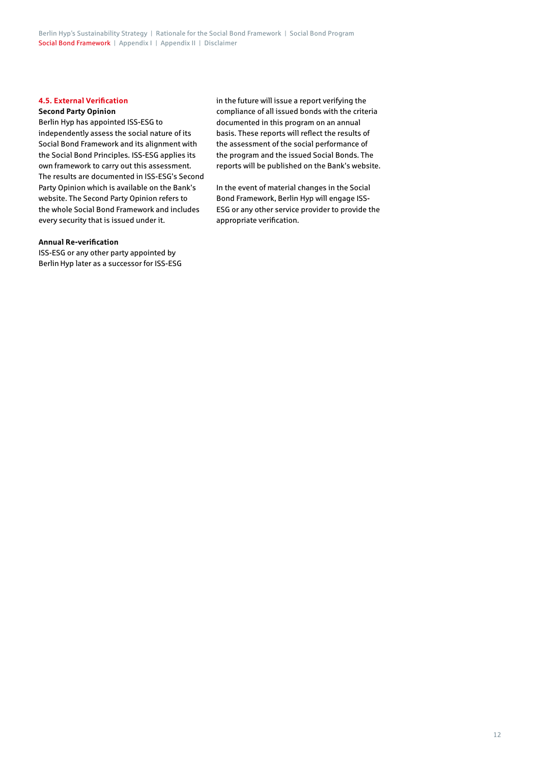Berlin Hyp's Sustainability Strategy | Rationale for the Social Bond Framework | Social Bond Program Social Bond Framework | Appendix I | Appendix II | Disclaimer

# **4.5. External Verification**

#### **Second Party Opinion**

Berlin Hyp has appointed ISS-ESG to independently assess the social nature of its Social Bond Framework and its alignment with the Social Bond Principles. ISS-ESG applies its own framework to carry out this assessment. The results are documented in ISS-ESG's Second Party Opinion which is available on the Bank's website. The Second Party Opinion refers to the whole Social Bond Framework and includes every security that is issued under it.

#### **Annual Re-verification**

ISS-ESG or any other party appointed by Berlin Hyp later as a successor for ISS-ESG in the future will issue a report verifying the compliance of all issued bonds with the criteria documented in this program on an annual basis. These reports will reflect the results of the assessment of the social performance of the program and the issued Social Bonds. The reports will be published on the Bank's website.

In the event of material changes in the Social Bond Framework, Berlin Hyp will engage ISS-ESG or any other service provider to provide the appropriate verification.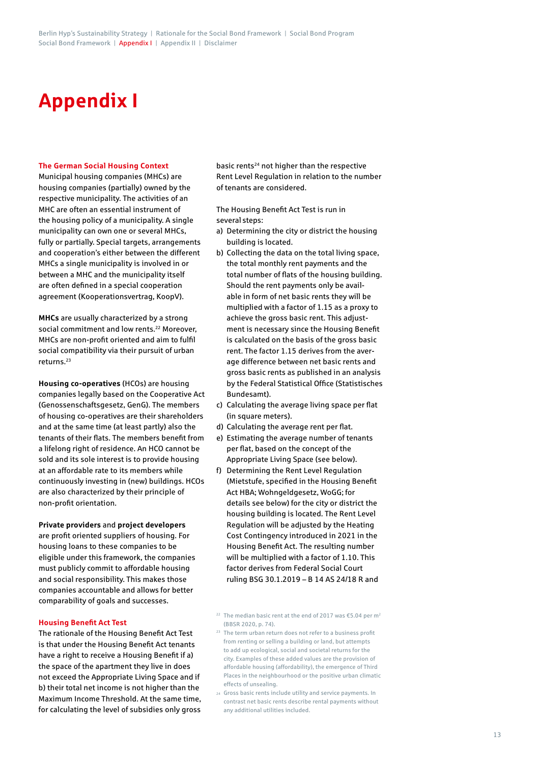# **Appendix I**

#### **The German Social Housing Context**

Municipal housing companies (MHCs) are housing companies (partially) owned by the respective municipality. The activities of an MHC are often an essential instrument of the housing policy of a municipality. A single municipality can own one or several MHCs, fully or partially. Special targets, arrangements and cooperation's either between the different MHCs a single municipality is involved in or between a MHC and the municipality itself are often defined in a special cooperation agreement (Kooperationsvertrag, KoopV).

**MHCs** are usually characterized by a strong social commitment and low rents.<sup>22</sup> Moreover, MHCs are non-profit oriented and aim to fulfil social compatibility via their pursuit of urban returns.23

**Housing co-operatives** (HCOs) are housing companies legally based on the Cooperative Act (Genossenschaftsgesetz, GenG). The members of housing co-operatives are their shareholders and at the same time (at least partly) also the tenants of their flats. The members benefit from a lifelong right of residence. An HCO cannot be sold and its sole interest is to provide housing at an affordable rate to its members while continuously investing in (new) buildings. HCOs are also characterized by their principle of non-profit orientation.

## **Private providers** and **project developers**

are profit oriented suppliers of housing. For housing loans to these companies to be eligible under this framework, the companies must publicly commit to affordable housing and social responsibility. This makes those companies accountable and allows for better comparability of goals and successes.

# **Housing Benefit Act Test**

The rationale of the Housing Benefit Act Test is that under the Housing Benefit Act tenants have a right to receive a Housing Benefit if a) the space of the apartment they live in does not exceed the Appropriate Living Space and if b) their total net income is not higher than the Maximum Income Threshold. At the same time, for calculating the level of subsidies only gross basic rents<sup>24</sup> not higher than the respective Rent Level Regulation in relation to the number of tenants are considered.

The Housing Benefit Act Test is run in several steps:

- a) Determining the city or district the housing building is located.
- b) Collecting the data on the total living space, the total monthly rent payments and the total number of flats of the housing building. Should the rent payments only be available in form of net basic rents they will be multiplied with a factor of 1.15 as a proxy to achieve the gross basic rent. This adjustment is necessary since the Housing Benefit is calculated on the basis of the gross basic rent. The factor 1.15 derives from the average difference between net basic rents and gross basic rents as published in an analysis by the Federal Statistical Office (Statistisches Bundesamt).
- c) Calculating the average living space per flat (in square meters).
- d) Calculating the average rent per flat.
- e) Estimating the average number of tenants per flat, based on the concept of the Appropriate Living Space (see below).
- f) Determining the Rent Level Regulation (Mietstufe, specified in the Housing Benefit Act HBA; Wohngeldgesetz, WoGG; for details see below) for the city or district the housing building is located. The Rent Level Regulation will be adjusted by the Heating Cost Contingency introduced in 2021 in the Housing Benefit Act. The resulting number will be multiplied with a factor of 1.10. This factor derives from Federal Social Court ruling BSG 30.1.2019 – B 14 AS 24/18 R and

<sup>&</sup>lt;sup>22</sup> The median basic rent at the end of 2017 was  $£5.04$  per m<sup>2</sup> (BBSR 2020, p. 74).

<sup>&</sup>lt;sup>23</sup> The term urban return does not refer to a business profit from renting or selling a building or land, but attempts to add up ecological, social and societal returns for the city. Examples of these added values are the provision of affordable housing (affordability), the emergence of Third Places in the neighbourhood or the positive urban climatic effects of unsealing.

<sup>24</sup>  Gross basic rents include utility and service payments. In contrast net basic rents describe rental payments without any additional utilities included.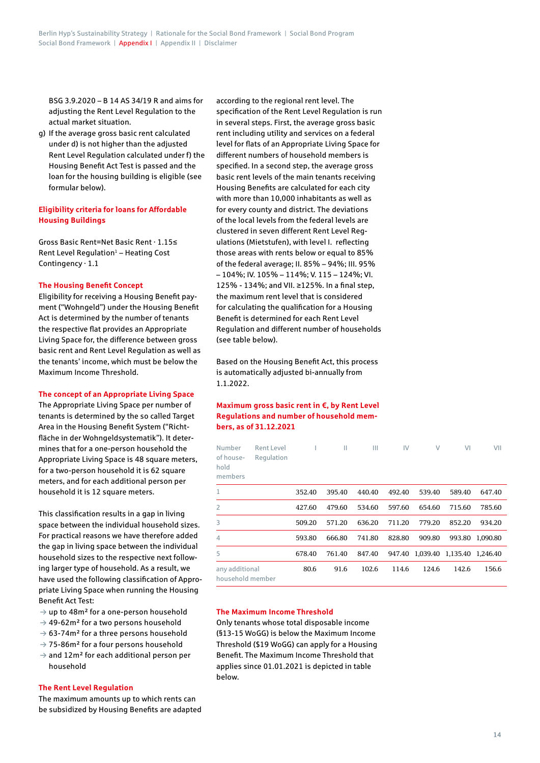BSG 3.9.2020 – B 14 AS 34/19 R and aims for adjusting the Rent Level Regulation to the actual market situation.

g) If the average gross basic rent calculated under d) is not higher than the adjusted Rent Level Regulation calculated under f) the Housing Benefit Act Test is passed and the loan for the housing building is eligible (see formular below).

# **Eligibility criteria for loans for Affordable Housing Buildings**

Gross Basic Rent=Net Basic Rent · 1.15≤ Rent Level Regulation $1$  – Heating Cost Contingency · 1.1

## **The Housing Benefit Concept**

Eligibility for receiving a Housing Benefit payment ("Wohngeld") under the Housing Benefit Act is determined by the number of tenants the respective flat provides an Appropriate Living Space for, the difference between gross basic rent and Rent Level Regulation as well as the tenants' income, which must be below the Maximum Income Threshold.

## **The concept of an Appropriate Living Space**

The Appropriate Living Space per number of tenants is determined by the so called Target Area in the Housing Benefit System ("Richtfläche in der Wohngeldsystematik"). It determines that for a one-person household the Appropriate Living Space is 48 square meters, for a two-person household it is 62 square meters, and for each additional person per household it is 12 square meters.

This classification results in a gap in living space between the individual household sizes. For practical reasons we have therefore added the gap in living space between the individual household sizes to the respective next following larger type of household. As a result, we have used the following classification of Appropriate Living Space when running the Housing Benefit Act Test:

- $\rightarrow$  up to 48m<sup>2</sup> for a one-person household
- $\rightarrow$  49-62m<sup>2</sup> for a two persons household
- $\rightarrow$  63-74m<sup>2</sup> for a three persons household
- $\rightarrow$  75-86m<sup>2</sup> for a four persons household
- $\rightarrow$  and 12m<sup>2</sup> for each additional person per household

## **The Rent Level Regulation**

The maximum amounts up to which rents can be subsidized by Housing Benefits are adapted according to the regional rent level. The specification of the Rent Level Regulation is run in several steps. First, the average gross basic rent including utility and services on a federal level for flats of an Appropriate Living Space for different numbers of household members is specified. In a second step, the average gross basic rent levels of the main tenants receiving Housing Benefits are calculated for each city with more than 10,000 inhabitants as well as for every county and district. The deviations of the local levels from the federal levels are clustered in seven different Rent Level Regulations (Mietstufen), with level I. reflecting those areas with rents below or equal to 85% of the federal average; II. 85% – 94%; III. 95% – 104%; IV. 105% – 114%; V. 115 – 124%; VI. 125% - 134%; and VII. ≥125%. In a final step, the maximum rent level that is considered for calculating the qualification for a Housing Benefit is determined for each Rent Level Regulation and different number of households (see table below).

Based on the Housing Benefit Act, this process is automatically adjusted bi-annually from 1.1.2022.

# **Maximum gross basic rent in €, by Rent Level Regulations and number of household members, as of 31.12.2021**

| Number<br>of house-<br>hold<br>members | Rent Level<br>Regulation |        | Ш      | Ш      | IV     | V        | VI       | VII      |
|----------------------------------------|--------------------------|--------|--------|--------|--------|----------|----------|----------|
| 1                                      |                          | 352.40 | 395.40 | 440.40 | 492.40 | 539.40   | 589.40   | 647.40   |
| 2                                      |                          | 427.60 | 479.60 | 534.60 | 597.60 | 654.60   | 715.60   | 785.60   |
| 3                                      |                          | 509.20 | 571.20 | 636.20 | 711.20 | 779.20   | 852.20   | 934.20   |
| 4                                      |                          | 593.80 | 666.80 | 741.80 | 828.80 | 909.80   | 993.80   | 1,090.80 |
| 5                                      |                          | 678.40 | 761.40 | 847.40 | 947.40 | 1,039.40 | 1,135.40 | 1.246.40 |
| any additional<br>household member     |                          | 80.6   | 91.6   | 102.6  | 114.6  | 124.6    | 142.6    | 156.6    |

# **The Maximum Income Threshold**

Only tenants whose total disposable income (§13-15 WoGG) is below the Maximum Income Threshold (\$19 WoGG) can apply for a Housing Benefit. The Maximum Income Threshold that applies since 01.01.2021 is depicted in table below.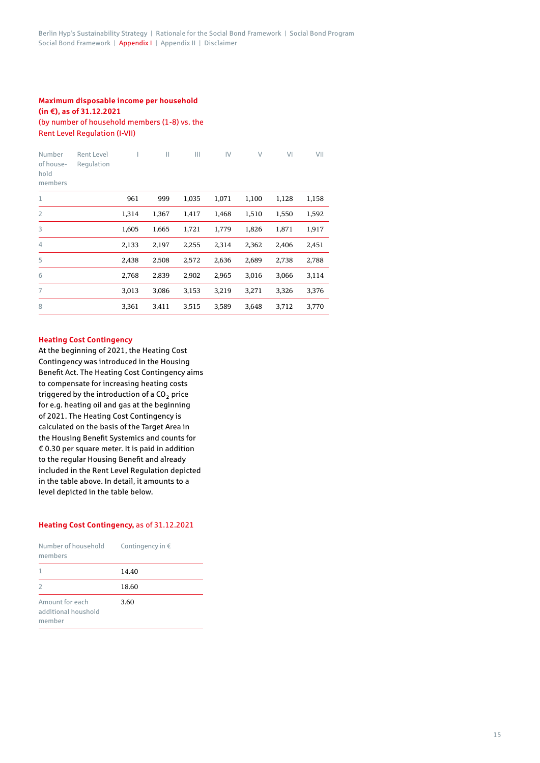# **Maximum disposable income per household (in €), as of 31.12.2021** (by number of household members (1-8) vs. the Rent Level Regulation (I-VII)

| Number<br>of house-<br>hold<br>members | <b>Rent Level</b><br>Regulation |       | Ш     | Ш     | IV    | $\vee$ | V <sub>1</sub> | VII   |
|----------------------------------------|---------------------------------|-------|-------|-------|-------|--------|----------------|-------|
| $\mathbf{1}$                           |                                 | 961   | 999   | 1,035 | 1,071 | 1,100  | 1,128          | 1,158 |
| $\overline{2}$                         |                                 | 1,314 | 1,367 | 1,417 | 1,468 | 1,510  | 1,550          | 1,592 |
| 3                                      |                                 | 1,605 | 1,665 | 1,721 | 1,779 | 1,826  | 1,871          | 1,917 |
| $\overline{4}$                         |                                 | 2,133 | 2,197 | 2,255 | 2,314 | 2,362  | 2,406          | 2,451 |
| 5                                      |                                 | 2,438 | 2,508 | 2,572 | 2,636 | 2,689  | 2,738          | 2,788 |
| 6                                      |                                 | 2,768 | 2,839 | 2,902 | 2,965 | 3,016  | 3,066          | 3,114 |
| $\overline{7}$                         |                                 | 3,013 | 3,086 | 3,153 | 3,219 | 3,271  | 3,326          | 3,376 |
| 8                                      |                                 | 3,361 | 3,411 | 3,515 | 3,589 | 3,648  | 3,712          | 3,770 |

# **Heating Cost Contingency**

At the beginning of 2021, the Heating Cost Contingency was introduced in the Housing Benefit Act. The Heating Cost Contingency aims to compensate for increasing heating costs triggered by the introduction of a CO<sub>2</sub> price for e.g. heating oil and gas at the beginning of 2021. The Heating Cost Contingency is calculated on the basis of the Target Area in the Housing Benefit Systemics and counts for € 0.30 per square meter. It is paid in addition to the regular Housing Benefit and already included in the Rent Level Regulation depicted in the table above. In detail, it amounts to a level depicted in the table below.

# **Heating Cost Contingency,** as of 31.12.2021

| Number of household<br>members                   | Contingency in $\epsilon$ |
|--------------------------------------------------|---------------------------|
| $\mathbf{1}$                                     | 14.40                     |
| 2                                                | 18.60                     |
| Amount for each<br>additional houshold<br>member | 3.60                      |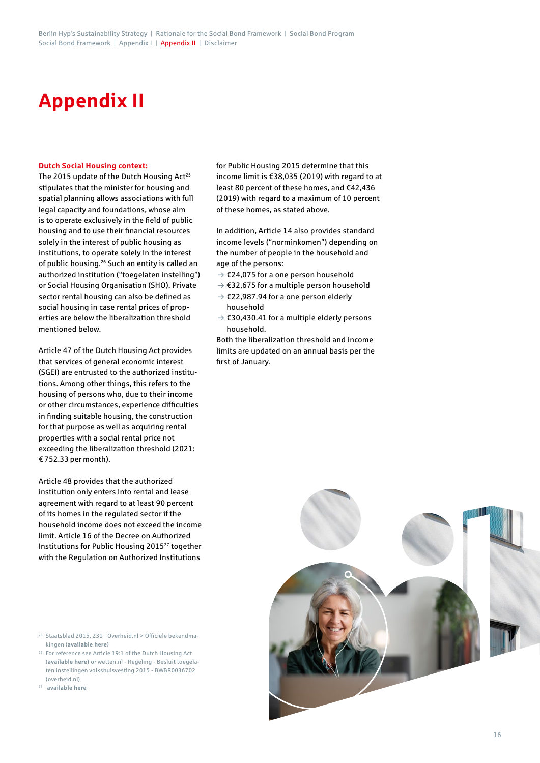# **Appendix II**

#### **Dutch Social Housing context:**

The 2015 update of the Dutch Housing Act<sup>25</sup> stipulates that the minister for housing and spatial planning allows associations with full legal capacity and foundations, whose aim is to operate exclusively in the field of public housing and to use their financial resources solely in the interest of public housing as institutions, to operate solely in the interest of public housing.26 Such an entity is called an authorized institution ("toegelaten instelling") or Social Housing Organisation (SHO). Private sector rental housing can also be defined as social housing in case rental prices of properties are below the liberalization threshold mentioned below.

Article 47 of the Dutch Housing Act provides that services of general economic interest (SGEI) are entrusted to the authorized institutions. Among other things, this refers to the housing of persons who, due to their income or other circumstances, experience difficulties in finding suitable housing, the construction for that purpose as well as acquiring rental properties with a social rental price not exceeding the liberalization threshold (2021: € 752.33 per month).

Article 48 provides that the authorized institution only enters into rental and lease agreement with regard to at least 90 percent of its homes in the regulated sector if the household income does not exceed the income limit. Article 16 of the Decree on Authorized Institutions for Public Housing 201527 together with the Regulation on Authorized Institutions

- <sup>25</sup> Staatsblad 2015, 231 | Overheid.nl > Officiële bekendmakingen (**[available here](http://officielebekendmakingen.nl)**)
- 26 For reference see Article 19:1 of the Dutch Housing Act (**[available here](https://wetten.overheid.nl/BWBR0005181/2020-03-14/#HoofdstukIIIa_Artikel19))** or wetten.nl - Regeling - Besluit toegelaten instellingen volkshuisvesting 2015 - BWBR0036702 (overheid.nl)
- <sup>27</sup> **[available here](https://www.woningmarktbeleid.nl/actueel/nieuws/2021/11/04/indexering-inkomens-voor-woningtoewijzing-verkoopregels-en-passend-toewijzen)**

for Public Housing 2015 determine that this income limit is €38,035 (2019) with regard to at least 80 percent of these homes, and €42,436 (2019) with regard to a maximum of 10 percent of these homes, as stated above.

In addition, Article 14 also provides standard income levels ("norminkomen") depending on the number of people in the household and age of the persons:

- $\rightarrow$  €24,075 for a one person household
- $\rightarrow$  €32,675 for a multiple person household
- $\rightarrow$  €22,987.94 for a one person elderly household
- $\rightarrow$  €30,430.41 for a multiple elderly persons household.

Both the liberalization threshold and income limits are updated on an annual basis per the first of January.

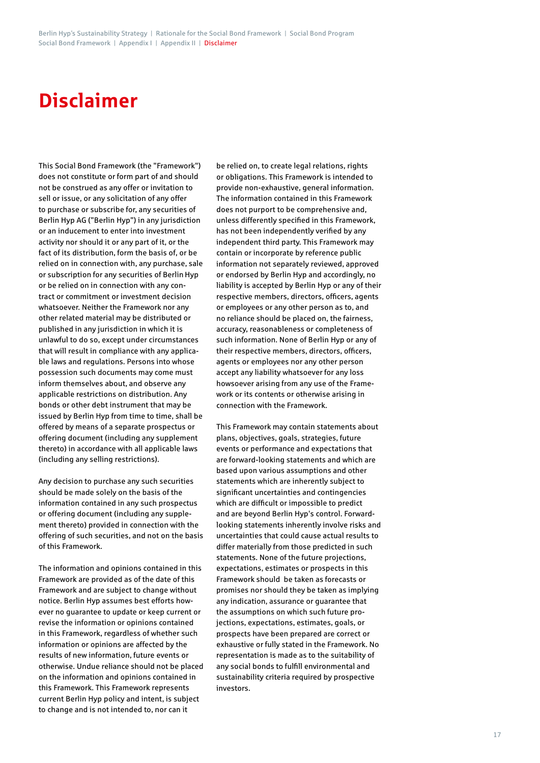# **Disclaimer**

This Social Bond Framework (the "Framework") does not constitute or form part of and should not be construed as any offer or invitation to sell or issue, or any solicitation of any offer to purchase or subscribe for, any securities of Berlin Hyp AG ("Berlin Hyp") in any jurisdiction or an inducement to enter into investment activity nor should it or any part of it, or the fact of its distribution, form the basis of, or be relied on in connection with, any purchase, sale or subscription for any securities of Berlin Hyp or be relied on in connection with any contract or commitment or investment decision whatsoever. Neither the Framework nor any other related material may be distributed or published in any jurisdiction in which it is unlawful to do so, except under circumstances that will result in compliance with any applicable laws and regulations. Persons into whose possession such documents may come must inform themselves about, and observe any applicable restrictions on distribution. Any bonds or other debt instrument that may be issued by Berlin Hyp from time to time, shall be offered by means of a separate prospectus or offering document (including any supplement thereto) in accordance with all applicable laws (including any selling restrictions).

Any decision to purchase any such securities should be made solely on the basis of the information contained in any such prospectus or offering document (including any supplement thereto) provided in connection with the offering of such securities, and not on the basis of this Framework.

The information and opinions contained in this Framework are provided as of the date of this Framework and are subject to change without notice. Berlin Hyp assumes best efforts however no guarantee to update or keep current or revise the information or opinions contained in this Framework, regardless of whether such information or opinions are affected by the results of new information, future events or otherwise. Undue reliance should not be placed on the information and opinions contained in this Framework. This Framework represents current Berlin Hyp policy and intent, is subject to change and is not intended to, nor can it

be relied on, to create legal relations, rights or obligations. This Framework is intended to provide non-exhaustive, general information. The information contained in this Framework does not purport to be comprehensive and, unless differently specified in this Framework, has not been independently verified by any independent third party. This Framework may contain or incorporate by reference public information not separately reviewed, approved or endorsed by Berlin Hyp and accordingly, no liability is accepted by Berlin Hyp or any of their respective members, directors, officers, agents or employees or any other person as to, and no reliance should be placed on, the fairness, accuracy, reasonableness or completeness of such information. None of Berlin Hyp or any of their respective members, directors, officers, agents or employees nor any other person accept any liability whatsoever for any loss howsoever arising from any use of the Framework or its contents or otherwise arising in connection with the Framework.

This Framework may contain statements about plans, objectives, goals, strategies, future events or performance and expectations that are forward-looking statements and which are based upon various assumptions and other statements which are inherently subject to significant uncertainties and contingencies which are difficult or impossible to predict and are beyond Berlin Hyp's control. Forwardlooking statements inherently involve risks and uncertainties that could cause actual results to differ materially from those predicted in such statements. None of the future projections, expectations, estimates or prospects in this Framework should be taken as forecasts or promises nor should they be taken as implying any indication, assurance or guarantee that the assumptions on which such future projections, expectations, estimates, goals, or prospects have been prepared are correct or exhaustive or fully stated in the Framework. No representation is made as to the suitability of any social bonds to fulfill environmental and sustainability criteria required by prospective investors.